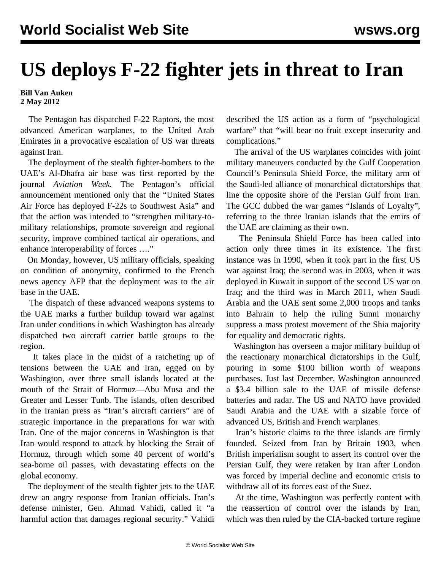## **US deploys F-22 fighter jets in threat to Iran**

## **Bill Van Auken 2 May 2012**

 The Pentagon has dispatched F-22 Raptors, the most advanced American warplanes, to the United Arab Emirates in a provocative escalation of US war threats against Iran.

 The deployment of the stealth fighter-bombers to the UAE's Al-Dhafra air base was first reported by the journal *Aviation Week.* The Pentagon's official announcement mentioned only that the "United States Air Force has deployed F-22s to Southwest Asia" and that the action was intended to "strengthen military-tomilitary relationships, promote sovereign and regional security, improve combined tactical air operations, and enhance interoperability of forces …."

 On Monday, however, US military officials, speaking on condition of anonymity, confirmed to the French news agency AFP that the deployment was to the air base in the UAE.

 The dispatch of these advanced weapons systems to the UAE marks a further buildup toward war against Iran under conditions in which Washington has already dispatched two aircraft carrier battle groups to the region.

 It takes place in the midst of a ratcheting up of tensions between the UAE and Iran, egged on by Washington, over three small islands located at the mouth of the Strait of Hormuz—Abu Musa and the Greater and Lesser Tunb. The islands, often described in the Iranian press as "Iran's aircraft carriers" are of strategic importance in the preparations for war with Iran. One of the major concerns in Washington is that Iran would respond to attack by blocking the Strait of Hormuz, through which some 40 percent of world's sea-borne oil passes, with devastating effects on the global economy.

 The deployment of the stealth fighter jets to the UAE drew an angry response from Iranian officials. Iran's defense minister, Gen. Ahmad Vahidi, called it "a harmful action that damages regional security." Vahidi described the US action as a form of "psychological warfare" that "will bear no fruit except insecurity and complications."

 The arrival of the US warplanes coincides with joint military maneuvers conducted by the Gulf Cooperation Council's Peninsula Shield Force, the military arm of the Saudi-led alliance of monarchical dictatorships that line the opposite shore of the Persian Gulf from Iran. The GCC dubbed the war games "Islands of Loyalty", referring to the three Iranian islands that the emirs of the UAE are claiming as their own.

 The Peninsula Shield Force has been called into action only three times in its existence. The first instance was in 1990, when it took part in the first US war against Iraq; the second was in 2003, when it was deployed in Kuwait in support of the second US war on Iraq; and the third was in March 2011, when Saudi Arabia and the UAE sent some 2,000 troops and tanks into Bahrain to help the ruling Sunni monarchy suppress a mass protest movement of the Shia majority for equality and democratic rights.

 Washington has overseen a major military buildup of the reactionary monarchical dictatorships in the Gulf, pouring in some \$100 billion worth of weapons purchases. Just last December, Washington announced a \$3.4 billion sale to the UAE of missile defense batteries and radar. The US and NATO have provided Saudi Arabia and the UAE with a sizable force of advanced US, British and French warplanes.

 Iran's historic claims to the three islands are firmly founded. Seized from Iran by Britain 1903, when British imperialism sought to assert its control over the Persian Gulf, they were retaken by Iran after London was forced by imperial decline and economic crisis to withdraw all of its forces east of the Suez.

 At the time, Washington was perfectly content with the reassertion of control over the islands by Iran, which was then ruled by the CIA-backed torture regime